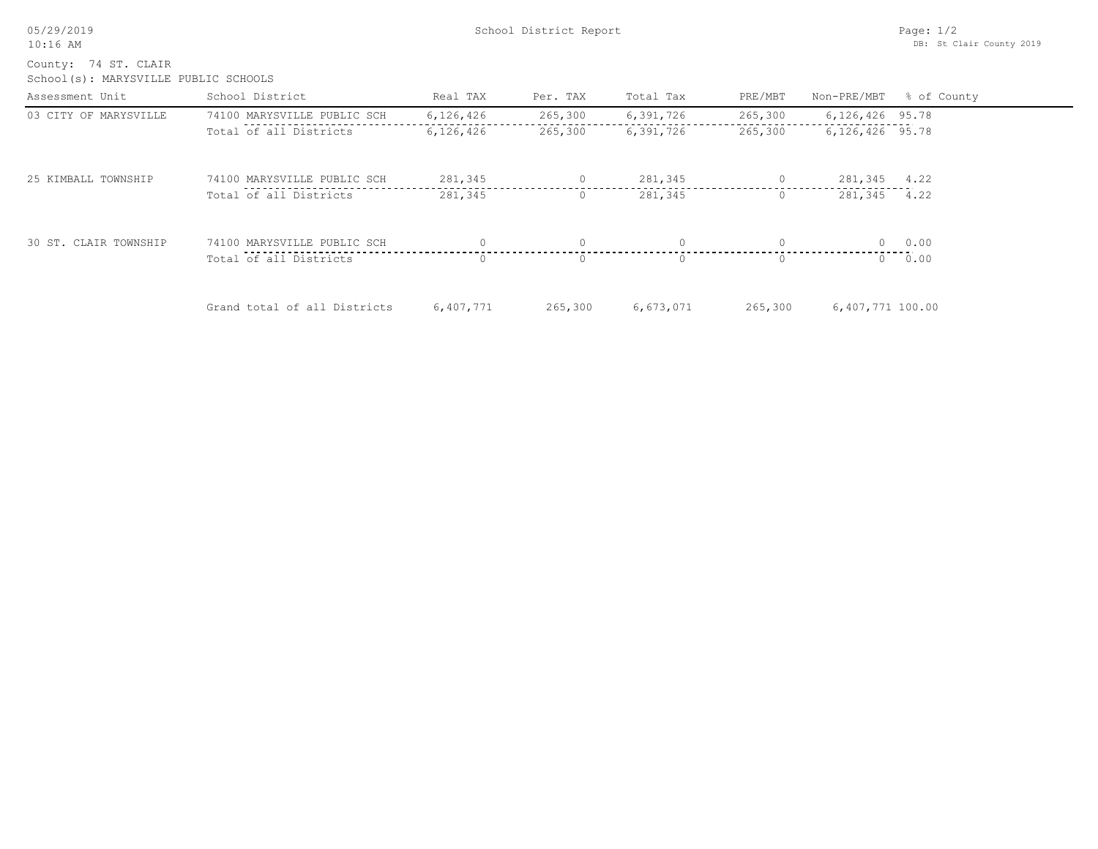| 05/29/2019 |
|------------|
|------------|

School(s): MARYSVILLE PUBLIC SCHOOLS County: 74 ST. CLAIR

| Assessment Unit       | School District              | Real TAX  | Per. TAX | Total Tax | PRE/MBT | Non-PRE/MBT      | % of County |
|-----------------------|------------------------------|-----------|----------|-----------|---------|------------------|-------------|
| 03 CITY OF MARYSVILLE | 74100 MARYSVILLE PUBLIC SCH  | 6,126,426 | 265,300  | 6,391,726 | 265,300 | 6,126,426 95.78  |             |
|                       | Total of all Districts       | 6,126,426 | 265,300  | 6,391,726 | 265,300 | 6,126,426 95.78  |             |
| 25 KIMBALL TOWNSHIP   | 74100 MARYSVILLE PUBLIC SCH  | 281,345   | $\circ$  | 281,345   | $\circ$ | 281,345 4.22     |             |
|                       | Total of all Districts       | 281,345   | $\circ$  | 281,345   |         | 281,345 4.22     |             |
| 30 ST. CLAIR TOWNSHIP | 74100 MARYSVILLE PUBLIC SCH  |           | $\Omega$ |           |         |                  | $0 \t 0.00$ |
|                       | Total of all Districts       | $\Omega$  | $\Omega$ |           |         |                  | 0 0.00      |
|                       | Grand total of all Districts | 6,407,771 | 265,300  | 6,673,071 | 265,300 | 6,407,771 100.00 |             |